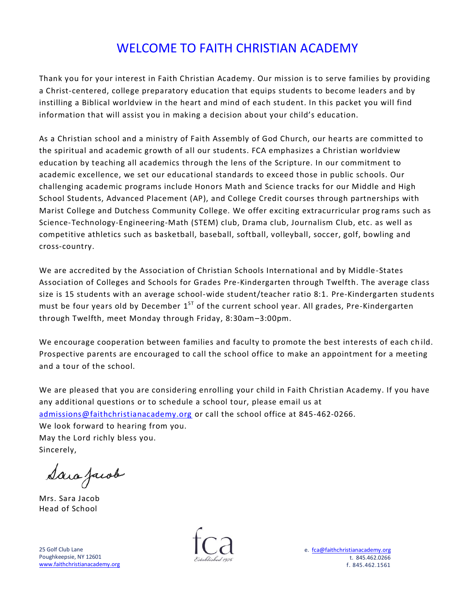# WELCOME TO FAITH CHRISTIAN ACADEMY

Thank you for your interest in Faith Christian Academy. Our mission is to serve families by providing a Christ-centered, college preparatory education that equips students to become leaders and by instilling a Biblical worldview in the heart and mind of each student. In this packet you will find information that will assist you in making a decision about your child's education.

As a Christian school and a ministry of Faith Assembly of God Church, our hearts are committed to the spiritual and academic growth of all our students. FCA emphasizes a Christian worldview education by teaching all academics through the lens of the Scripture. In our commitment to academic excellence, we set our educational standards to exceed those in public schools. Our challenging academic programs include Honors Math and Science tracks for our Middle and High School Students, Advanced Placement (AP), and College Credit courses through partnerships with Marist College and Dutchess Community College. We offer exciting extracurricular prog rams such as Science-Technology-Engineering-Math (STEM) club, Drama club, Journalism Club, etc. as well as competitive athletics such as basketball, baseball, softball, volleyball, soccer, golf, bowling and cross-country.

We are accredited by the Association of Christian Schools International and by Middle-States Association of Colleges and Schools for Grades Pre-Kindergarten through Twelfth. The average class size is 15 students with an average school-wide student/teacher ratio 8:1. Pre-Kindergarten students must be four years old by December  $1^{ST}$  of the current school year. All grades, Pre-Kindergarten through Twelfth, meet Monday through Friday, 8:30am–3:00pm.

We encourage cooperation between families and faculty to promote the best interests of each ch ild. Prospective parents are encouraged to call the school office to make an appointment for a meeting and a tour of the school.

We are pleased that you are considering enrolling your child in Faith Christian Academy. If you have any additional questions or to schedule a school tour, please email us at [admissions@faithchristianacademy.org](mailto:admissions@faithchristianacademy.org) or call the school office at 845-462-0266. We look forward to hearing from you. May the Lord richly bless you. Sincerely,

Sara Jacob

Mrs. Sara Jacob Head of School

25 Golf Club Lane Poughkeepsie, NY 12601 [www.faithchristianacademy.org](http://www.faithchristianacademy.org/)

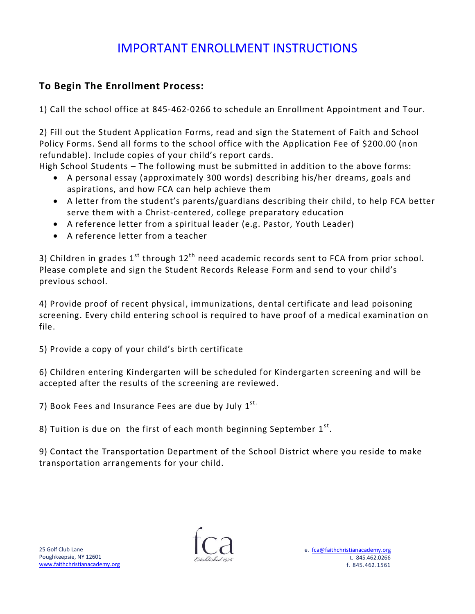# IMPORTANT ENROLLMENT INSTRUCTIONS

### **To Begin The Enrollment Process:**

1) Call the school office at 845-462-0266 to schedule an Enrollment Appointment and Tour.

2) Fill out the Student Application Forms, read and sign the Statement of Faith and School Policy Forms. Send all forms to the school office with the Application Fee of \$200.00 (non refundable). Include copies of your child's report cards.

High School Students – The following must be submitted in addition to the above forms:

- A personal essay (approximately 300 words) describing his/her dreams, goals and aspirations, and how FCA can help achieve them
- A letter from the student's parents/guardians describing their child, to help FCA better serve them with a Christ-centered, college preparatory education
- A reference letter from a spiritual leader (e.g. Pastor, Youth Leader)
- A reference letter from a teacher

3) Children in grades  $1^{st}$  through  $12^{th}$  need academic records sent to FCA from prior school. Please complete and sign the Student Records Release Form and send to your child's previous school.

4) Provide proof of recent physical, immunizations, dental certificate and lead poisoning screening. Every child entering school is required to have proof of a medical examination on file.

5) Provide a copy of your child's birth certificate

6) Children entering Kindergarten will be scheduled for Kindergarten screening and will be accepted after the results of the screening are reviewed.

7) Book Fees and Insurance Fees are due by July  $1^{st.}$ 

8) Tuition is due on the first of each month beginning September  $1^\text{st}$ .

9) Contact the Transportation Department of the School District where you reside to make transportation arrangements for your child.

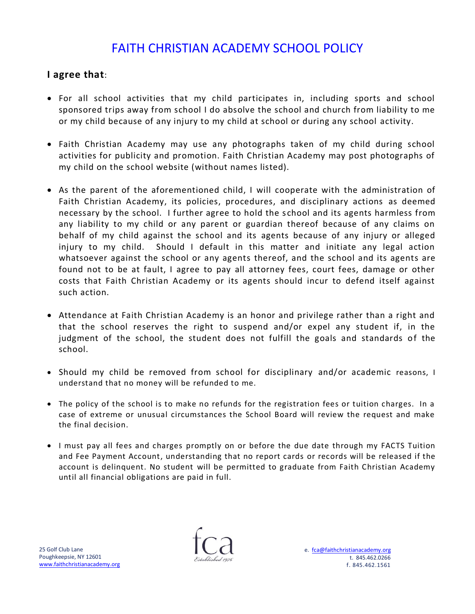# FAITH CHRISTIAN ACADEMY SCHOOL POLICY

### **I agree that**:

- For all school activities that my child participates in, including sports and school sponsored trips away from school I do absolve the school and church from liability to me or my child because of any injury to my child at school or during any school activity.
- Faith Christian Academy may use any photographs taken of my child during school activities for publicity and promotion. Faith Christian Academy may post photographs of my child on the school website (without names listed).
- As the parent of the aforementioned child, I will cooperate with the administration of Faith Christian Academy, its policies, procedures, and disciplinary actions as deemed necessary by the school. I further agree to hold the s chool and its agents harmless from any liability to my child or any parent or guardian thereof because of any claims on behalf of my child against the school and its agents because of any injury or alleged injury to my child. Should I default in this matter and initiate any legal action whatsoever against the school or any agents thereof, and the school and its agents are found not to be at fault, I agree to pay all attorney fees, court fees, damage or other costs that Faith Christian Academy or its agents should incur to defend itself against such action.
- Attendance at Faith Christian Academy is an honor and privilege rather than a right and that the school reserves the right to suspend and/or expel any student if, in the judgment of the school, the student does not fulfill the goals and standards of the school.
- Should my child be removed from school for disciplinary and/or academic reasons, I understand that no money will be refunded to me.
- The policy of the school is to make no refunds for the registration fees or tuition charges. In a case of extreme or unusual circumstances the School Board will review the request and make the final decision.
- I must pay all fees and charges promptly on or before the due date through my FACTS Tuition and Fee Payment Account, understanding that no report cards or records will be released if the account is delinquent. No student will be permitted to graduate from Faith Christian Academy until all financial obligations are paid in full.

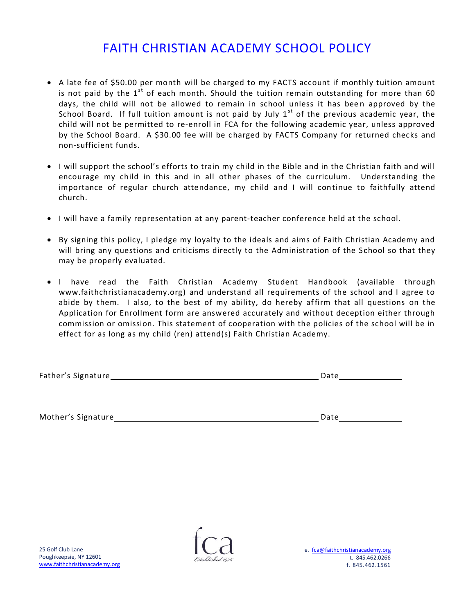# FAITH CHRISTIAN ACADEMY SCHOOL POLICY

- A late fee of \$50.00 per month will be charged to my FACTS account if monthly tuition amount is not paid by the  $1<sup>st</sup>$  of each month. Should the tuition remain outstanding for more than 60 days, the child will not be allowed to remain in school unless it has been approved by the School Board. If full tuition amount is not paid by July  $1<sup>st</sup>$  of the previous academic year, the child will not be permitted to re-enroll in FCA for the following academic year, unless approved by the School Board. A \$30.00 fee will be c harged by FACTS Company for returned checks and non-sufficient funds.
- I will support the school's efforts to train my child in the Bible and in the Christian faith and will encourage my child in this and in all other phases of the curriculum. Understanding the importance of regular church attendance, my child and I will continue to faithfully attend church.
- I will have a family representation at any parent-teacher conference held at the school.
- By signing this policy, I pledge my loyalty to the ideals and aims of Faith Christian Academy and will bring any questions and criticisms directly to the Administration of the School so that they may be properly evaluated.
- I have read the Faith Christian Academy Student Handbook (available through www.faithchristianacademy.org) and understand all requirements of the school and I agree to abide by them. I also, to the best of my ability, do hereby affirm that all questions on the Application for Enrollment form are answered accurately and without deception either through commission or omission. This statement of cooperation with the policies of the school will be in effect for as long as my child (ren) attend(s) Faith Christian Academy.

| Father's Signature |  |
|--------------------|--|
|                    |  |

Mother's Signature **Date** Date **Date** Date **Date** 

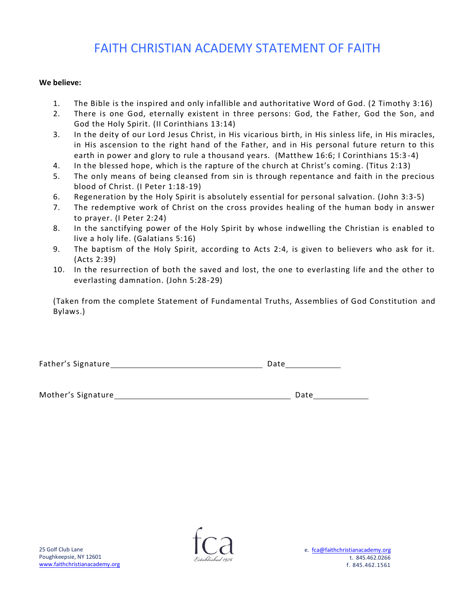## FAITH CHRISTIAN ACADEMY STATEMENT OF FAITH

#### **We believe:**

- 1. The Bible is the inspired and only infallible and authoritative Word of God. (2 Timothy 3:16)
- 2. There is one God, eternally existent in three persons: God, the Father, God the Son, and God the Holy Spirit. (II Corinthians 13:14)
- 3. In the deity of our Lord Jesus Christ, in His vicarious birth, in His sinless life, in His miracles, in His ascension to the right hand of the Father, and in His personal future return to this earth in power and glory to rule a thousand years. (Matthew 16:6; I Corinthians 15:3-4)
- 4. In the blessed hope, which is the rapture of the church at Christ's coming. (Titus 2:13)
- 5. The only means of being cleansed from sin is through repentance and faith in the precious blood of Christ. (I Peter 1:18-19)
- 6. Regeneration by the Holy Spirit is absolutely essential for pe rsonal salvation. (John 3:3-5)
- 7. The redemptive work of Christ on the cross provides healing of the human body in answer to prayer. (I Peter 2:24)
- 8. In the sanctifying power of the Holy Spirit by whose indwelling the Christian is enabled to live a holy life. (Galatians 5:16)
- 9. The baptism of the Holy Spirit, according to Acts 2:4, is given to believers who ask for it. (Acts 2:39)
- 10. In the resurrection of both the saved and lost, the one to everlasting life and the other to everlasting damnation. (John 5:28-29)

(Taken from the complete Statement of Fundamental Truths, Assemblies of God Constitution and Bylaws.)

| Father's Signature | Date |
|--------------------|------|
|                    |      |

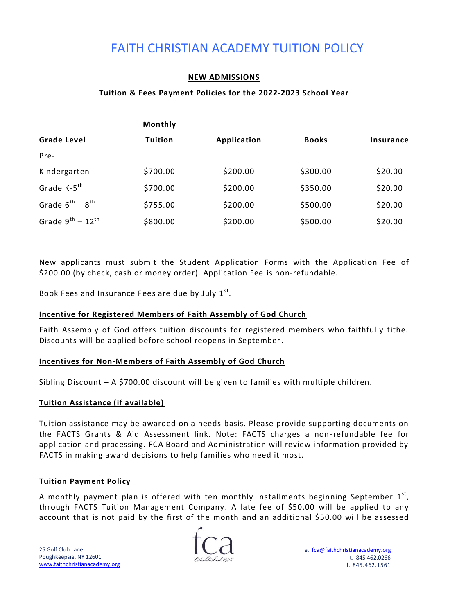# FAITH CHRISTIAN ACADEMY TUITION POLICY

#### **NEW ADMISSIONS**

#### **Tuition & Fees Payment Policies for the 2022-2023 School Year**

|                            | Monthly        |             |              |                  |  |
|----------------------------|----------------|-------------|--------------|------------------|--|
| <b>Grade Level</b>         | <b>Tuition</b> | Application | <b>Books</b> | <b>Insurance</b> |  |
| Pre-                       |                |             |              |                  |  |
| Kindergarten               | \$700.00       | \$200.00    | \$300.00     | \$20.00          |  |
| Grade K-5 <sup>th</sup>    | \$700.00       | \$200.00    | \$350.00     | \$20.00          |  |
| Grade $6^{th} - 8^{th}$    | \$755.00       | \$200.00    | \$500.00     | \$20.00          |  |
| Grade $9^{th}$ - $12^{th}$ | \$800.00       | \$200.00    | \$500.00     | \$20.00          |  |

New applicants must submit the Student Application Forms with the Application Fee of \$200.00 (by check, cash or money order). Application Fee is non-refundable.

Book Fees and Insurance Fees are due by July  $1^{st}$ .

#### **Incentive for Registered Members of Faith Assembly of God Church**

Faith Assembly of God offers tuition discounts for registered members who faithfully tithe. Discounts will be applied before school reopens in September.

#### **Incentives for Non-Members of Faith Assembly of God Church**

Sibling Discount – A \$700.00 discount will be given to families with multiple children.

#### **Tuition Assistance (if available)**

Tuition assistance may be awarded on a needs basis. Please provide supporting documents on the FACTS Grants & Aid Assessment link. Note: FACTS charges a non-refundable fee for application and processing. FCA Board and Administration will review information provided by FACTS in making award decisions to help families who need it most.

#### **Tuition Payment Policy**

A monthly payment plan is offered with ten monthly installments beginning September  $1^\text{st}$ , through FACTS Tuition Management Company. A late fee of \$50.00 will be applied to any account that is not paid by the first of the month and an additional \$50.00 will be assessed

25 Golf Club Lane Poughkeepsie, NY 12601 [www.faithchristianacademy.org](http://www.faithchristianacademy.org/)

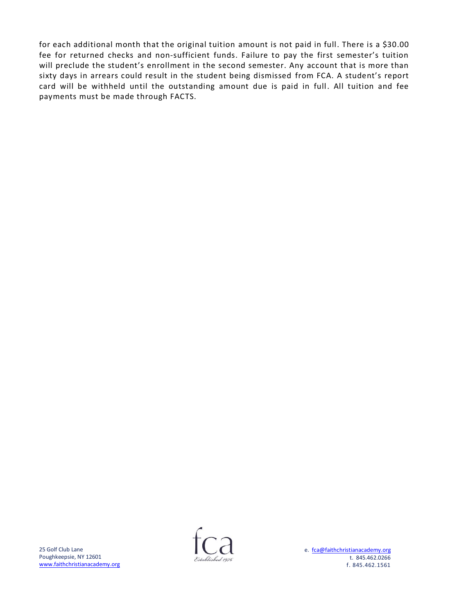for each additional month that the original tuition amount is not paid in full. There is a \$30.00 fee for returned checks and non-sufficient funds. Failure to pay the first semester's tuition will preclude the student's enrollment in the second semester. Any account that is more than sixty days in arrears could result in the student being dismissed from FCA. A student's report card will be withheld until the outstanding amount due is paid in full. All tuition and fee payments must be made through FACTS.

25 Golf Club Lane Poughkeepsie, NY 12601 [www.faithchristianacademy.org](http://www.faithchristianacademy.org/)

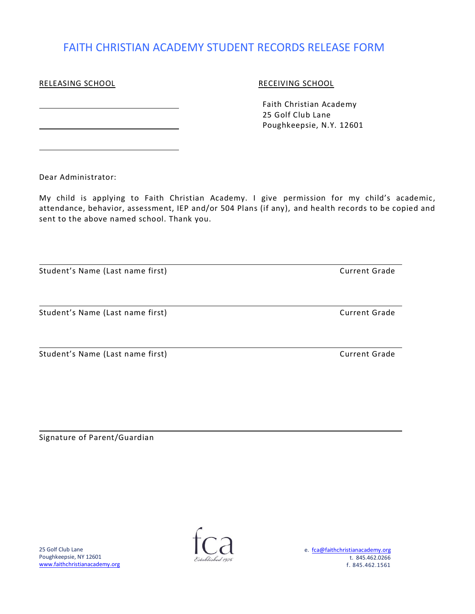### FAITH CHRISTIAN ACADEMY STUDENT RECORDS RELEASE FORM

### RELEASING SCHOOL **RECEIVING SCHOOL**

 Faith Christian Academy 25 Golf Club Lane Poughkeepsie, N.Y. 12601

Dear Administrator:

My child is applying to Faith Christian Academy. I give permission for my child's academic, attendance, behavior, assessment, IEP and/or 504 Plans (if any), and health records to be copied and sent to the above named school. Thank you.

| Student's Name (Last name first) | <b>Current Grade</b> |  |  |
|----------------------------------|----------------------|--|--|
|                                  |                      |  |  |
| Student's Name (Last name first) | <b>Current Grade</b> |  |  |
| Student's Name (Last name first) | <b>Current Grade</b> |  |  |

Signature of Parent/Guardian

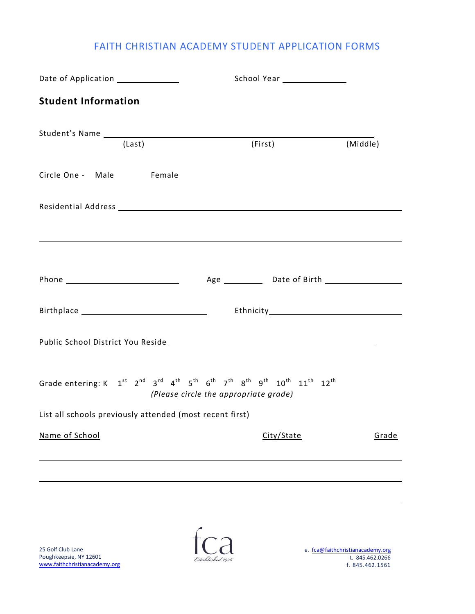### FAITH CHRISTIAN ACADEMY STUDENT APPLICATION FORMS

| Date of Application _______________                      |                                                                                                                                                                           |          |  |
|----------------------------------------------------------|---------------------------------------------------------------------------------------------------------------------------------------------------------------------------|----------|--|
| <b>Student Information</b>                               |                                                                                                                                                                           |          |  |
| (Last)                                                   | (First)                                                                                                                                                                   |          |  |
|                                                          |                                                                                                                                                                           | (Middle) |  |
| Circle One - Male Female                                 |                                                                                                                                                                           |          |  |
|                                                          |                                                                                                                                                                           |          |  |
|                                                          |                                                                                                                                                                           |          |  |
|                                                          |                                                                                                                                                                           |          |  |
|                                                          |                                                                                                                                                                           |          |  |
|                                                          |                                                                                                                                                                           |          |  |
|                                                          | Grade entering: K $1^{st}$ $2^{nd}$ $3^{rd}$ $4^{th}$ $5^{th}$ $6^{th}$ $7^{th}$ $8^{th}$ $9^{th}$ $10^{th}$ $11^{th}$ $12^{th}$<br>(Please circle the appropriate grade) |          |  |
| List all schools previously attended (most recent first) |                                                                                                                                                                           |          |  |
| Name of School                                           | City/State                                                                                                                                                                | Grade    |  |
|                                                          |                                                                                                                                                                           |          |  |
|                                                          |                                                                                                                                                                           |          |  |
|                                                          |                                                                                                                                                                           |          |  |
|                                                          |                                                                                                                                                                           |          |  |

25 Golf Club Lane Poughkeepsie, NY 12601 [www.faithchristianacademy.org](http://www.faithchristianacademy.org/)

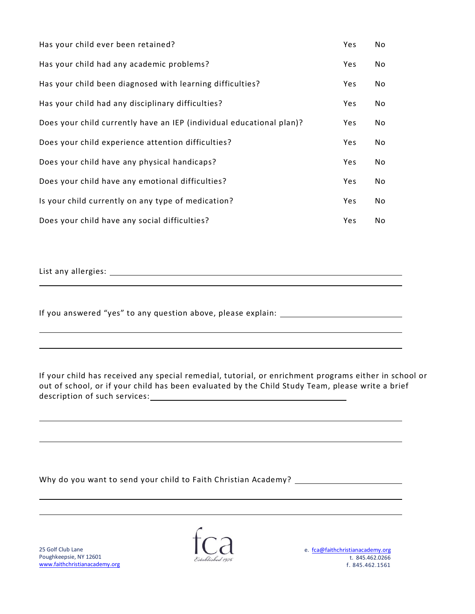| Has your child ever been retained?                                   | Yes        | No. |
|----------------------------------------------------------------------|------------|-----|
| Has your child had any academic problems?                            | Yes        | No  |
| Has your child been diagnosed with learning difficulties?            | Yes        | No  |
| Has your child had any disciplinary difficulties?                    | Yes        | No  |
| Does your child currently have an IEP (individual educational plan)? | <b>Yes</b> | No  |
| Does your child experience attention difficulties?                   | Yes        | No  |
| Does your child have any physical handicaps?                         | Yes        | No  |
| Does your child have any emotional difficulties?                     | Yes        | No  |
| Is your child currently on any type of medication?                   | Yes        | No  |
| Does your child have any social difficulties?                        | Yes        | No  |

List any allergies:

 $\overline{a}$ 

If you answered "yes" to any question above, please explain:

If your child has received any special remedial, tutorial, or enrichment programs either in school or out of school, or if your child has been evaluated by the Child Study Team, please write a brief description of such services:<br>

| Why do you want to send your child to Faith Christian Academy? |  |  |
|----------------------------------------------------------------|--|--|
|----------------------------------------------------------------|--|--|

25 Golf Club Lane Poughkeepsie, NY 12601 [www.faithchristianacademy.org](http://www.faithchristianacademy.org/)

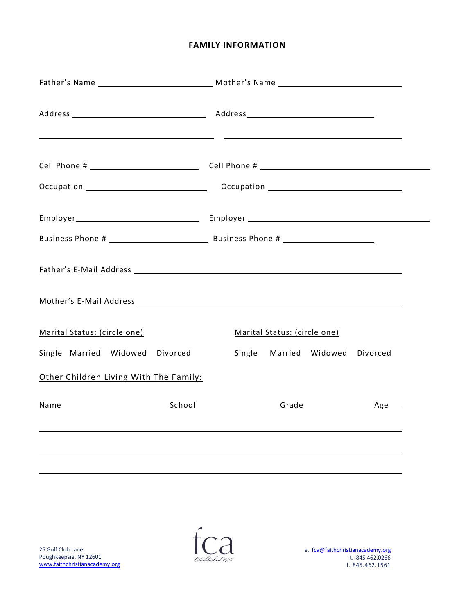#### **FAMILY INFORMATION**

|                                                                                                                                                                                                                                |  | <u> 2001 - Jacques Alexandro III, poet e alexandro de la contrada de la contrada de la contrada de la contrada d</u> |                              |                        |          |  |
|--------------------------------------------------------------------------------------------------------------------------------------------------------------------------------------------------------------------------------|--|----------------------------------------------------------------------------------------------------------------------|------------------------------|------------------------|----------|--|
|                                                                                                                                                                                                                                |  |                                                                                                                      |                              |                        |          |  |
|                                                                                                                                                                                                                                |  |                                                                                                                      |                              |                        |          |  |
| Father's E-Mail Address and the control of the control of the control of the control of the control of the control of the control of the control of the control of the control of the control of the control of the control of |  |                                                                                                                      |                              |                        |          |  |
| Marital Status: (circle one)                                                                                                                                                                                                   |  |                                                                                                                      | Marital Status: (circle one) |                        |          |  |
| Single Married Widowed Divorced                                                                                                                                                                                                |  |                                                                                                                      |                              | Single Married Widowed | Divorced |  |
| Other Children Living With The Family:                                                                                                                                                                                         |  |                                                                                                                      |                              |                        |          |  |
| Name Age School School Crade Age                                                                                                                                                                                               |  |                                                                                                                      |                              |                        |          |  |
|                                                                                                                                                                                                                                |  |                                                                                                                      |                              |                        |          |  |
|                                                                                                                                                                                                                                |  |                                                                                                                      |                              |                        |          |  |